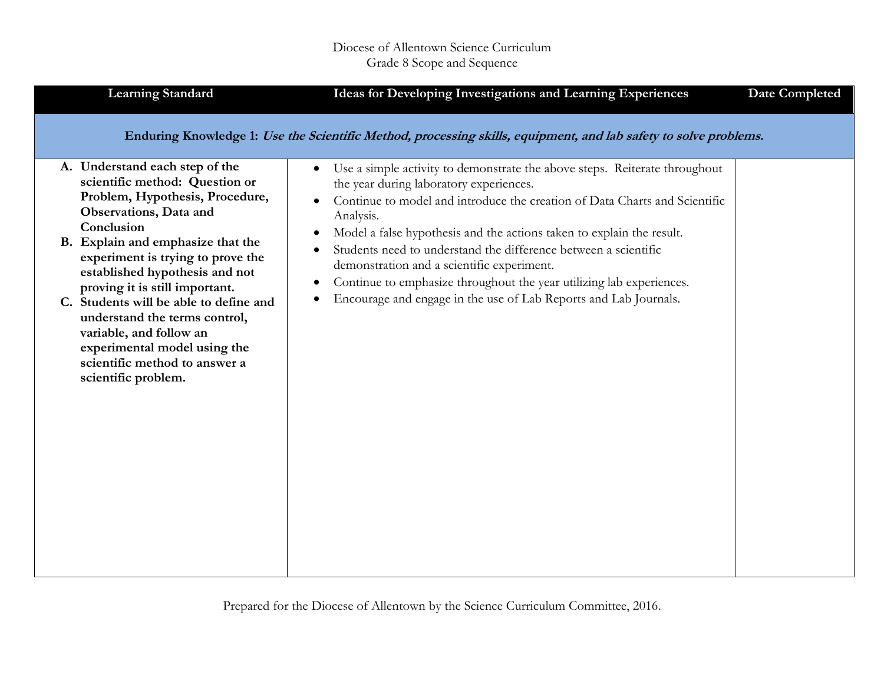| <b>Learning Standard</b>                                                                                                                                                                                                                                                                                                                                                                                                                              | Ideas for Developing Investigations and Learning Experiences                                                                                                                                                                                                                                                                                                                                                                                                                                                                                                                          | <b>Date Completed</b> |
|-------------------------------------------------------------------------------------------------------------------------------------------------------------------------------------------------------------------------------------------------------------------------------------------------------------------------------------------------------------------------------------------------------------------------------------------------------|---------------------------------------------------------------------------------------------------------------------------------------------------------------------------------------------------------------------------------------------------------------------------------------------------------------------------------------------------------------------------------------------------------------------------------------------------------------------------------------------------------------------------------------------------------------------------------------|-----------------------|
| A. Understand each step of the                                                                                                                                                                                                                                                                                                                                                                                                                        | Enduring Knowledge 1: Use the Scientific Method, processing skills, equipment, and lab safety to solve problems.                                                                                                                                                                                                                                                                                                                                                                                                                                                                      |                       |
| scientific method: Question or<br>Problem, Hypothesis, Procedure,<br>Observations, Data and<br>Conclusion<br>B. Explain and emphasize that the<br>experiment is trying to prove the<br>established hypothesis and not<br>proving it is still important.<br>C. Students will be able to define and<br>understand the terms control,<br>variable, and follow an<br>experimental model using the<br>scientific method to answer a<br>scientific problem. | Use a simple activity to demonstrate the above steps. Reiterate throughout<br>$\bullet$<br>the year during laboratory experiences.<br>Continue to model and introduce the creation of Data Charts and Scientific<br>Analysis.<br>Model a false hypothesis and the actions taken to explain the result.<br>$\bullet$<br>Students need to understand the difference between a scientific<br>demonstration and a scientific experiment.<br>Continue to emphasize throughout the year utilizing lab experiences.<br>٠<br>Encourage and engage in the use of Lab Reports and Lab Journals. |                       |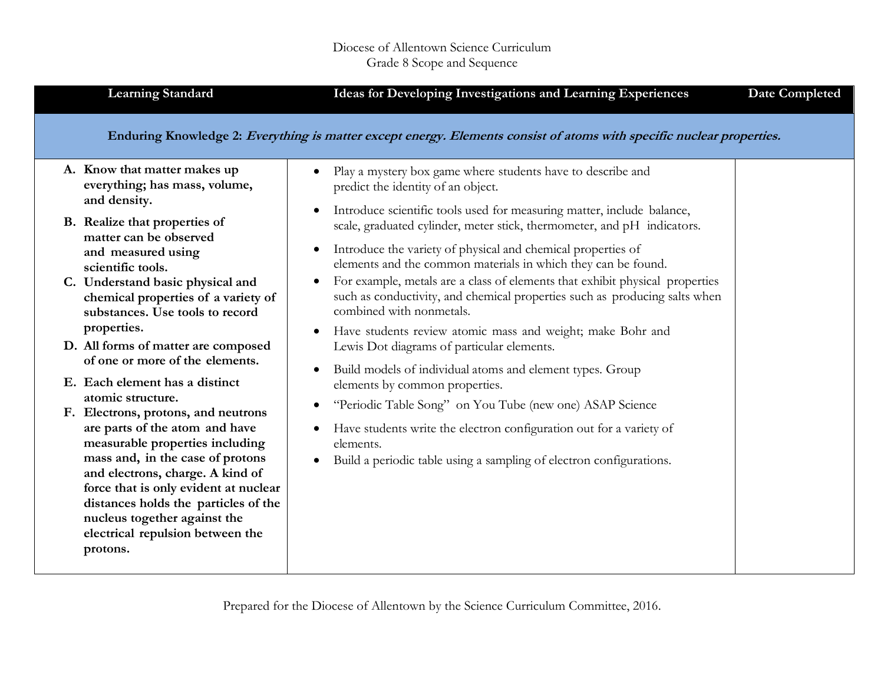| <b>Learning Standard</b>                                                                                                                                                                                                                                                                                                                                                                                                                                                                                                                                                                                                                                                                                                                                                                               | Ideas for Developing Investigations and Learning Experiences<br><b>Date Completed</b>                                                                                                                                                                                                                                                                                                                                                                                                                                                                                                                                                                                                                                                                                                                                                                                                                                                                                                                                                                                                             |  |
|--------------------------------------------------------------------------------------------------------------------------------------------------------------------------------------------------------------------------------------------------------------------------------------------------------------------------------------------------------------------------------------------------------------------------------------------------------------------------------------------------------------------------------------------------------------------------------------------------------------------------------------------------------------------------------------------------------------------------------------------------------------------------------------------------------|---------------------------------------------------------------------------------------------------------------------------------------------------------------------------------------------------------------------------------------------------------------------------------------------------------------------------------------------------------------------------------------------------------------------------------------------------------------------------------------------------------------------------------------------------------------------------------------------------------------------------------------------------------------------------------------------------------------------------------------------------------------------------------------------------------------------------------------------------------------------------------------------------------------------------------------------------------------------------------------------------------------------------------------------------------------------------------------------------|--|
|                                                                                                                                                                                                                                                                                                                                                                                                                                                                                                                                                                                                                                                                                                                                                                                                        | Enduring Knowledge 2: Everything is matter except energy. Elements consist of atoms with specific nuclear properties.                                                                                                                                                                                                                                                                                                                                                                                                                                                                                                                                                                                                                                                                                                                                                                                                                                                                                                                                                                             |  |
| A. Know that matter makes up<br>everything; has mass, volume,<br>and density.<br>B. Realize that properties of<br>matter can be observed<br>and measured using<br>scientific tools.<br>C. Understand basic physical and<br>chemical properties of a variety of<br>substances. Use tools to record<br>properties.<br>D. All forms of matter are composed<br>of one or more of the elements.<br>E. Each element has a distinct<br>atomic structure.<br>F. Electrons, protons, and neutrons<br>are parts of the atom and have<br>measurable properties including<br>mass and, in the case of protons<br>and electrons, charge. A kind of<br>force that is only evident at nuclear<br>distances holds the particles of the<br>nucleus together against the<br>electrical repulsion between the<br>protons. | Play a mystery box game where students have to describe and<br>$\bullet$<br>predict the identity of an object.<br>Introduce scientific tools used for measuring matter, include balance,<br>$\bullet$<br>scale, graduated cylinder, meter stick, thermometer, and pH indicators.<br>Introduce the variety of physical and chemical properties of<br>$\bullet$<br>elements and the common materials in which they can be found.<br>For example, metals are a class of elements that exhibit physical properties<br>such as conductivity, and chemical properties such as producing salts when<br>combined with nonmetals.<br>Have students review atomic mass and weight; make Bohr and<br>$\bullet$<br>Lewis Dot diagrams of particular elements.<br>Build models of individual atoms and element types. Group<br>$\bullet$<br>elements by common properties.<br>"Periodic Table Song" on You Tube (new one) ASAP Science<br>$\bullet$<br>Have students write the electron configuration out for a variety of<br>elements.<br>Build a periodic table using a sampling of electron configurations. |  |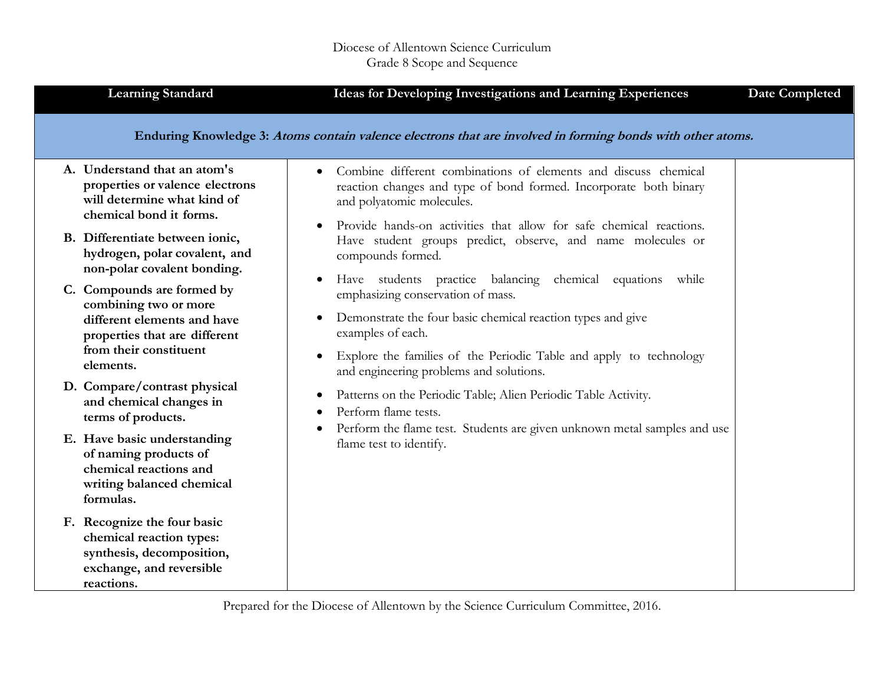|            | <b>Learning Standard</b>                                                                                                                      | <b>Ideas for Developing Investigations and Learning Experiences</b>                                                                                                                                                                                                                             | <b>Date Completed</b> |
|------------|-----------------------------------------------------------------------------------------------------------------------------------------------|-------------------------------------------------------------------------------------------------------------------------------------------------------------------------------------------------------------------------------------------------------------------------------------------------|-----------------------|
|            |                                                                                                                                               | Enduring Knowledge 3: Atoms contain valence electrons that are involved in forming bonds with other atoms.                                                                                                                                                                                      |                       |
|            | A. Understand that an atom's<br>properties or valence electrons<br>will determine what kind of<br>chemical bond it forms.                     | Combine different combinations of elements and discuss chemical<br>$\bullet$<br>reaction changes and type of bond formed. Incorporate both binary<br>and polyatomic molecules.<br>Provide hands-on activities that allow for safe chemical reactions.                                           |                       |
|            | B. Differentiate between ionic,<br>hydrogen, polar covalent, and<br>non-polar covalent bonding.                                               | Have student groups predict, observe, and name molecules or<br>compounds formed.                                                                                                                                                                                                                |                       |
| elements.  | C. Compounds are formed by<br>combining two or more<br>different elements and have<br>properties that are different<br>from their constituent | Have students practice balancing chemical equations while<br>$\bullet$<br>emphasizing conservation of mass.<br>Demonstrate the four basic chemical reaction types and give<br>$\bullet$<br>examples of each.<br>Explore the families of the Periodic Table and apply to technology<br>$\bullet$ |                       |
|            | D. Compare/contrast physical<br>and chemical changes in<br>terms of products.                                                                 | and engineering problems and solutions.<br>Patterns on the Periodic Table; Alien Periodic Table Activity.<br>$\bullet$<br>Perform flame tests.                                                                                                                                                  |                       |
| formulas.  | E. Have basic understanding<br>of naming products of<br>chemical reactions and<br>writing balanced chemical                                   | Perform the flame test. Students are given unknown metal samples and use<br>$\bullet$<br>flame test to identify.                                                                                                                                                                                |                       |
| reactions. | F. Recognize the four basic<br>chemical reaction types:<br>synthesis, decomposition,<br>exchange, and reversible                              |                                                                                                                                                                                                                                                                                                 |                       |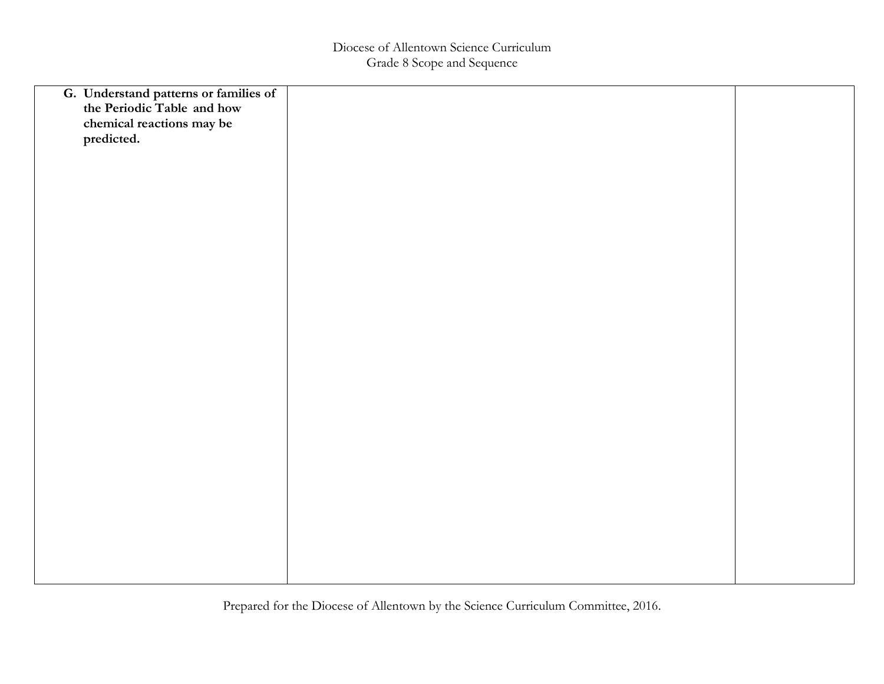| G. Understand patterns or families of<br>the Periodic Table and how |  |
|---------------------------------------------------------------------|--|
|                                                                     |  |
| chemical reactions may be                                           |  |
| predicted.                                                          |  |
|                                                                     |  |
|                                                                     |  |
|                                                                     |  |
|                                                                     |  |
|                                                                     |  |
|                                                                     |  |
|                                                                     |  |
|                                                                     |  |
|                                                                     |  |
|                                                                     |  |
|                                                                     |  |
|                                                                     |  |
|                                                                     |  |
|                                                                     |  |
|                                                                     |  |
|                                                                     |  |
|                                                                     |  |
|                                                                     |  |
|                                                                     |  |
|                                                                     |  |
|                                                                     |  |
|                                                                     |  |
|                                                                     |  |
|                                                                     |  |
|                                                                     |  |
|                                                                     |  |
|                                                                     |  |
|                                                                     |  |
|                                                                     |  |
|                                                                     |  |
|                                                                     |  |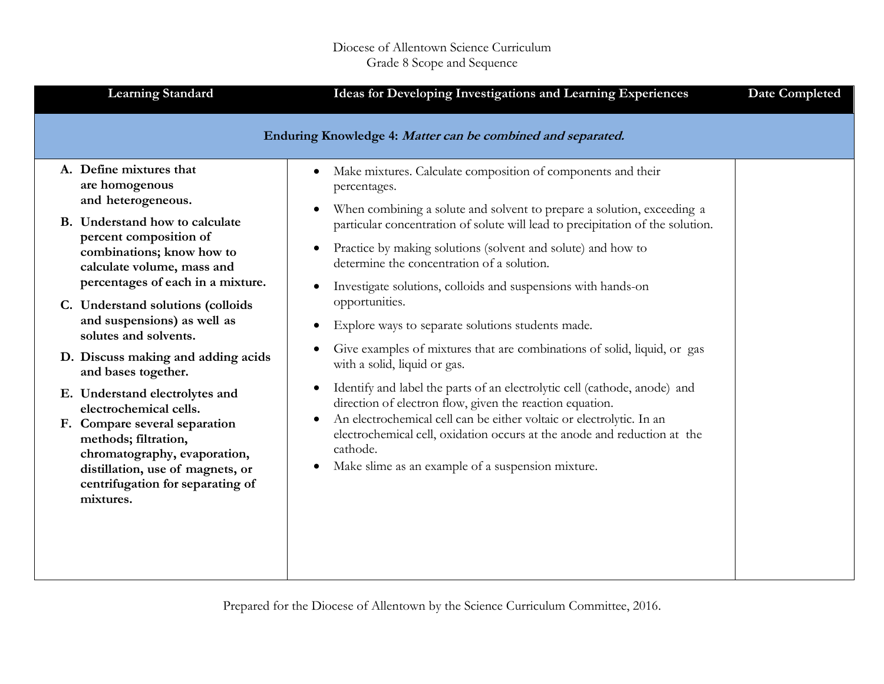| <b>Learning Standard</b>                                                                                                                                                                                                                                                                                                                                                                                                                                                                                                                                                                                                        | Ideas for Developing Investigations and Learning Experiences                                                                                                                                                                                                                                                                                                                                                                                                                                                                                                                                                                                                                                                                                                                                                                                                                                                                                                                                         | Date Completed |
|---------------------------------------------------------------------------------------------------------------------------------------------------------------------------------------------------------------------------------------------------------------------------------------------------------------------------------------------------------------------------------------------------------------------------------------------------------------------------------------------------------------------------------------------------------------------------------------------------------------------------------|------------------------------------------------------------------------------------------------------------------------------------------------------------------------------------------------------------------------------------------------------------------------------------------------------------------------------------------------------------------------------------------------------------------------------------------------------------------------------------------------------------------------------------------------------------------------------------------------------------------------------------------------------------------------------------------------------------------------------------------------------------------------------------------------------------------------------------------------------------------------------------------------------------------------------------------------------------------------------------------------------|----------------|
|                                                                                                                                                                                                                                                                                                                                                                                                                                                                                                                                                                                                                                 | Enduring Knowledge 4: Matter can be combined and separated.                                                                                                                                                                                                                                                                                                                                                                                                                                                                                                                                                                                                                                                                                                                                                                                                                                                                                                                                          |                |
| A. Define mixtures that<br>are homogenous<br>and heterogeneous.<br>B. Understand how to calculate<br>percent composition of<br>combinations; know how to<br>calculate volume, mass and<br>percentages of each in a mixture.<br>C. Understand solutions (colloids<br>and suspensions) as well as<br>solutes and solvents.<br>D. Discuss making and adding acids<br>and bases together.<br>E. Understand electrolytes and<br>electrochemical cells.<br>F. Compare several separation<br>methods; filtration,<br>chromatography, evaporation,<br>distillation, use of magnets, or<br>centrifugation for separating of<br>mixtures. | Make mixtures. Calculate composition of components and their<br>٠<br>percentages.<br>When combining a solute and solvent to prepare a solution, exceeding a<br>particular concentration of solute will lead to precipitation of the solution.<br>Practice by making solutions (solvent and solute) and how to<br>determine the concentration of a solution.<br>Investigate solutions, colloids and suspensions with hands-on<br>opportunities.<br>Explore ways to separate solutions students made.<br>٠<br>Give examples of mixtures that are combinations of solid, liquid, or gas<br>with a solid, liquid or gas.<br>Identify and label the parts of an electrolytic cell (cathode, anode) and<br>direction of electron flow, given the reaction equation.<br>An electrochemical cell can be either voltaic or electrolytic. In an<br>٠<br>electrochemical cell, oxidation occurs at the anode and reduction at the<br>cathode.<br>Make slime as an example of a suspension mixture.<br>$\bullet$ |                |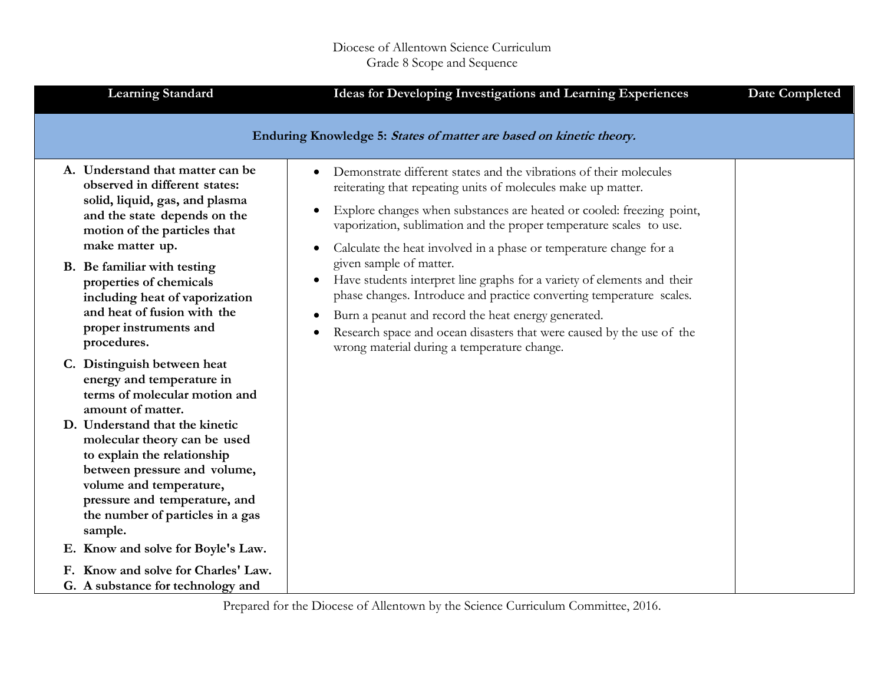| <b>Learning Standard</b>                                                                                                                                                                                                                 | <b>Ideas for Developing Investigations and Learning Experiences</b>                                                                                                                                                                                                                                                                                                                              | <b>Date Completed</b> |
|------------------------------------------------------------------------------------------------------------------------------------------------------------------------------------------------------------------------------------------|--------------------------------------------------------------------------------------------------------------------------------------------------------------------------------------------------------------------------------------------------------------------------------------------------------------------------------------------------------------------------------------------------|-----------------------|
|                                                                                                                                                                                                                                          | Enduring Knowledge 5: States of matter are based on kinetic theory.                                                                                                                                                                                                                                                                                                                              |                       |
| A. Understand that matter can be<br>observed in different states:<br>solid, liquid, gas, and plasma<br>and the state depends on the<br>motion of the particles that<br>make matter up.                                                   | Demonstrate different states and the vibrations of their molecules<br>$\bullet$<br>reiterating that repeating units of molecules make up matter.<br>Explore changes when substances are heated or cooled: freezing point,<br>$\bullet$<br>vaporization, sublimation and the proper temperature scales to use.<br>Calculate the heat involved in a phase or temperature change for a<br>$\bullet$ |                       |
| B. Be familiar with testing<br>properties of chemicals<br>including heat of vaporization<br>and heat of fusion with the<br>proper instruments and<br>procedures.                                                                         | given sample of matter.<br>Have students interpret line graphs for a variety of elements and their<br>phase changes. Introduce and practice converting temperature scales.<br>Burn a peanut and record the heat energy generated.<br>$\bullet$<br>Research space and ocean disasters that were caused by the use of the<br>wrong material during a temperature change.                           |                       |
| C. Distinguish between heat<br>energy and temperature in<br>terms of molecular motion and<br>amount of matter.                                                                                                                           |                                                                                                                                                                                                                                                                                                                                                                                                  |                       |
| D. Understand that the kinetic<br>molecular theory can be used<br>to explain the relationship<br>between pressure and volume,<br>volume and temperature,<br>pressure and temperature, and<br>the number of particles in a gas<br>sample. |                                                                                                                                                                                                                                                                                                                                                                                                  |                       |
| E. Know and solve for Boyle's Law.                                                                                                                                                                                                       |                                                                                                                                                                                                                                                                                                                                                                                                  |                       |
| F. Know and solve for Charles' Law.<br>G. A substance for technology and                                                                                                                                                                 |                                                                                                                                                                                                                                                                                                                                                                                                  |                       |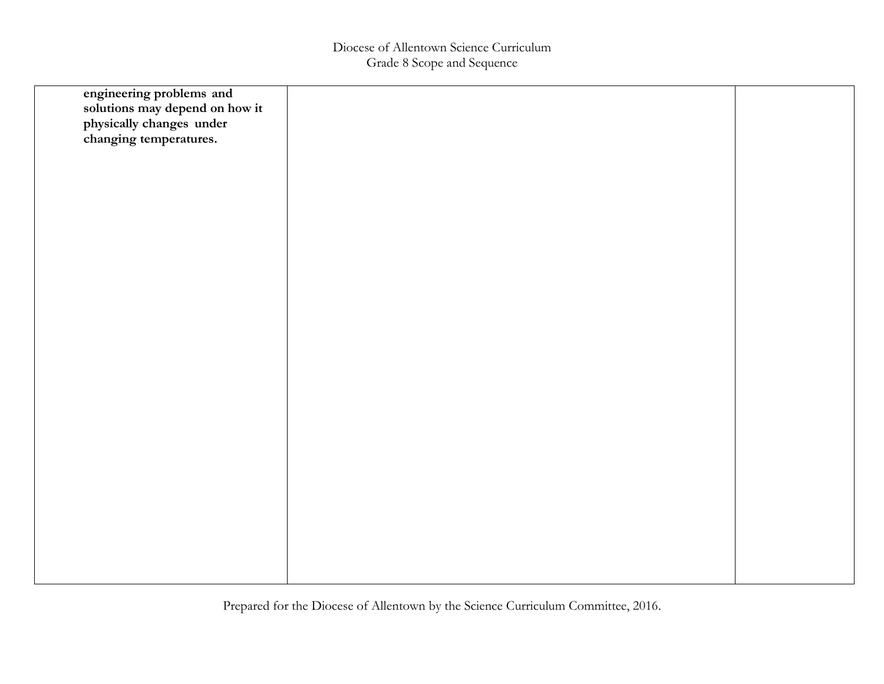| engineering problems and<br>solutions may depend on how it<br>physically changes under<br>changing temperatures. |  |
|------------------------------------------------------------------------------------------------------------------|--|
|                                                                                                                  |  |
|                                                                                                                  |  |
|                                                                                                                  |  |
|                                                                                                                  |  |
|                                                                                                                  |  |
|                                                                                                                  |  |
|                                                                                                                  |  |
|                                                                                                                  |  |
|                                                                                                                  |  |
|                                                                                                                  |  |
|                                                                                                                  |  |
|                                                                                                                  |  |
|                                                                                                                  |  |
|                                                                                                                  |  |
|                                                                                                                  |  |
|                                                                                                                  |  |
|                                                                                                                  |  |
|                                                                                                                  |  |
|                                                                                                                  |  |
|                                                                                                                  |  |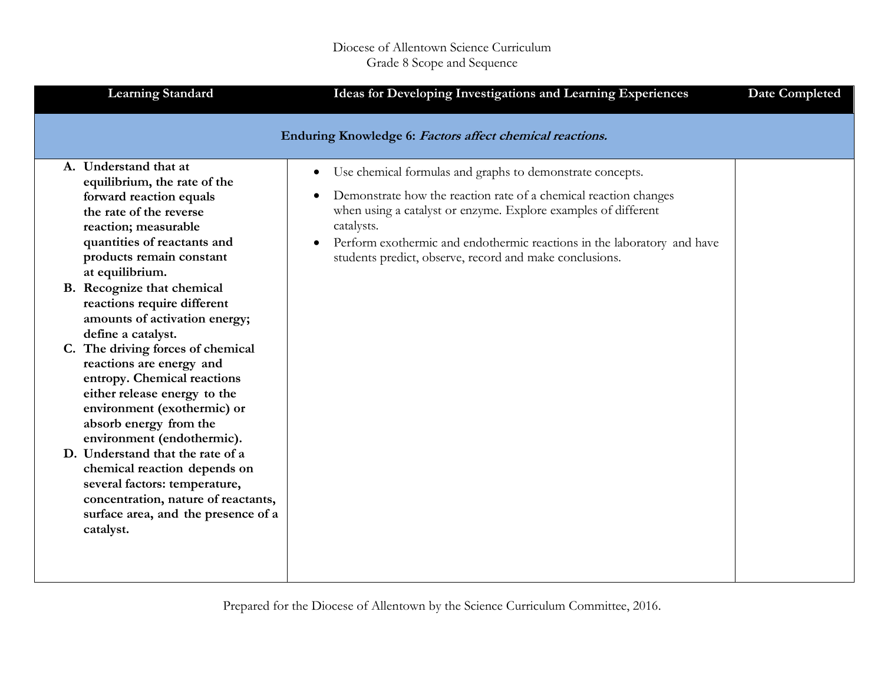| <b>Learning Standard</b>                                                                                                                                                                                                                                                                                                                                                                                                                                              | Ideas for Developing Investigations and Learning Experiences                                                                                                                                                                                                                                                                                                                               | <b>Date Completed</b> |
|-----------------------------------------------------------------------------------------------------------------------------------------------------------------------------------------------------------------------------------------------------------------------------------------------------------------------------------------------------------------------------------------------------------------------------------------------------------------------|--------------------------------------------------------------------------------------------------------------------------------------------------------------------------------------------------------------------------------------------------------------------------------------------------------------------------------------------------------------------------------------------|-----------------------|
|                                                                                                                                                                                                                                                                                                                                                                                                                                                                       | Enduring Knowledge 6: Factors affect chemical reactions.                                                                                                                                                                                                                                                                                                                                   |                       |
| A. Understand that at<br>equilibrium, the rate of the<br>forward reaction equals<br>the rate of the reverse<br>reaction; measurable<br>quantities of reactants and<br>products remain constant<br>at equilibrium.<br>B. Recognize that chemical<br>reactions require different<br>amounts of activation energy;<br>define a catalyst.<br>C. The driving forces of chemical<br>reactions are energy and<br>entropy. Chemical reactions<br>either release energy to the | Use chemical formulas and graphs to demonstrate concepts.<br>$\bullet$<br>Demonstrate how the reaction rate of a chemical reaction changes<br>$\bullet$<br>when using a catalyst or enzyme. Explore examples of different<br>catalysts.<br>Perform exothermic and endothermic reactions in the laboratory and have<br>$\bullet$<br>students predict, observe, record and make conclusions. |                       |
| environment (exothermic) or<br>absorb energy from the<br>environment (endothermic).<br>D. Understand that the rate of a<br>chemical reaction depends on<br>several factors: temperature,<br>concentration, nature of reactants,<br>surface area, and the presence of a<br>catalyst.                                                                                                                                                                                   |                                                                                                                                                                                                                                                                                                                                                                                            |                       |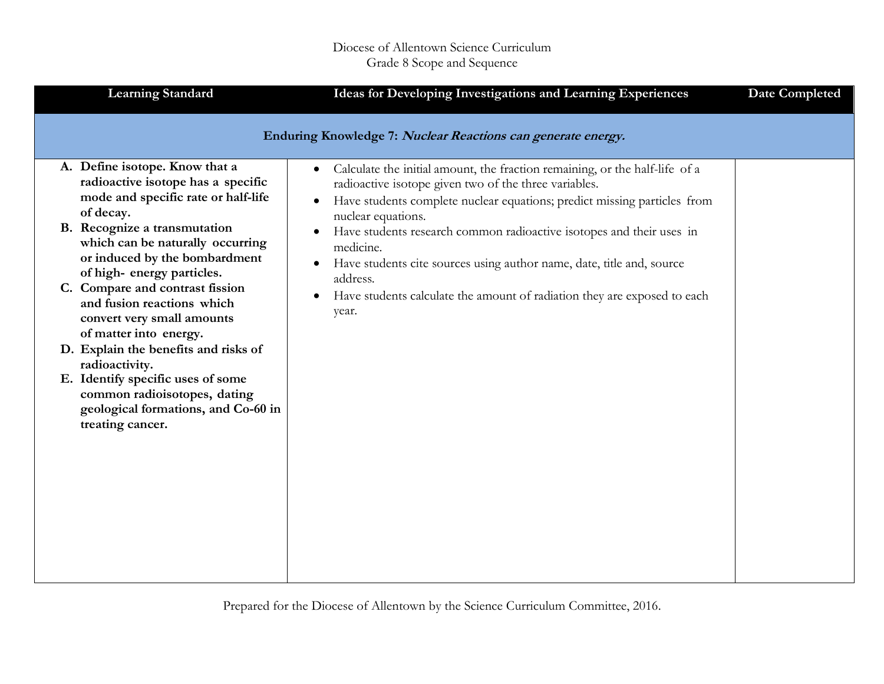| <b>Learning Standard</b>                                                                                                                                                                                                                                                                                        | Ideas for Developing Investigations and Learning Experiences                                                                                                                                                                                                                                                                                                                                                                                                                                   | <b>Date Completed</b> |
|-----------------------------------------------------------------------------------------------------------------------------------------------------------------------------------------------------------------------------------------------------------------------------------------------------------------|------------------------------------------------------------------------------------------------------------------------------------------------------------------------------------------------------------------------------------------------------------------------------------------------------------------------------------------------------------------------------------------------------------------------------------------------------------------------------------------------|-----------------------|
| A. Define isotope. Know that a<br>radioactive isotope has a specific<br>mode and specific rate or half-life<br>of decay.<br>B. Recognize a transmutation<br>which can be naturally occurring<br>or induced by the bombardment<br>of high-energy particles.                                                      | Enduring Knowledge 7: Nuclear Reactions can generate energy.<br>Calculate the initial amount, the fraction remaining, or the half-life of a<br>$\bullet$<br>radioactive isotope given two of the three variables.<br>Have students complete nuclear equations; predict missing particles from<br>$\bullet$<br>nuclear equations.<br>Have students research common radioactive isotopes and their uses in<br>medicine.<br>Have students cite sources using author name, date, title and, source |                       |
| C. Compare and contrast fission<br>and fusion reactions which<br>convert very small amounts<br>of matter into energy.<br>D. Explain the benefits and risks of<br>radioactivity.<br>E. Identify specific uses of some<br>common radioisotopes, dating<br>geological formations, and Co-60 in<br>treating cancer. | address.<br>Have students calculate the amount of radiation they are exposed to each<br>$\bullet$<br>year.                                                                                                                                                                                                                                                                                                                                                                                     |                       |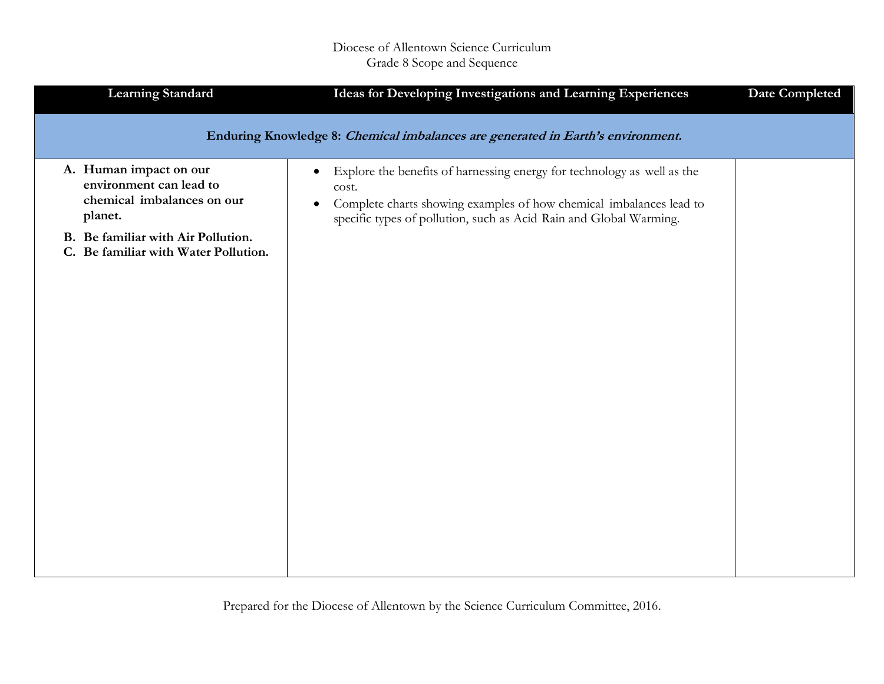| <b>Learning Standard</b>                                                                                                                                                 | Ideas for Developing Investigations and Learning Experiences                                                                                                                                                                                            | <b>Date Completed</b> |
|--------------------------------------------------------------------------------------------------------------------------------------------------------------------------|---------------------------------------------------------------------------------------------------------------------------------------------------------------------------------------------------------------------------------------------------------|-----------------------|
|                                                                                                                                                                          | Enduring Knowledge 8: Chemical imbalances are generated in Earth's environment.                                                                                                                                                                         |                       |
| A. Human impact on our<br>environment can lead to<br>chemical imbalances on our<br>planet.<br>B. Be familiar with Air Pollution.<br>C. Be familiar with Water Pollution. | Explore the benefits of harnessing energy for technology as well as the<br>$\bullet$<br>cost.<br>Complete charts showing examples of how chemical imbalances lead to<br>$\bullet$<br>specific types of pollution, such as Acid Rain and Global Warming. |                       |
|                                                                                                                                                                          |                                                                                                                                                                                                                                                         |                       |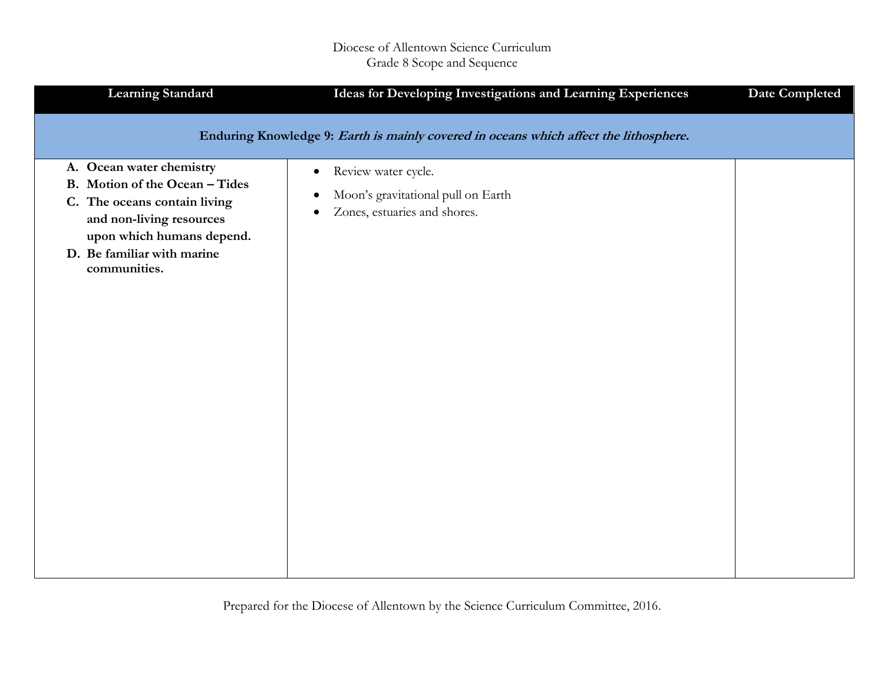| <b>Learning Standard</b>                                                                                                                                                                          | Ideas for Developing Investigations and Learning Experiences                                                                     | <b>Date Completed</b> |
|---------------------------------------------------------------------------------------------------------------------------------------------------------------------------------------------------|----------------------------------------------------------------------------------------------------------------------------------|-----------------------|
|                                                                                                                                                                                                   | Enduring Knowledge 9: Earth is mainly covered in oceans which affect the lithosphere.                                            |                       |
| A. Ocean water chemistry<br>B. Motion of the Ocean - Tides<br>C. The oceans contain living<br>and non-living resources<br>upon which humans depend.<br>D. Be familiar with marine<br>communities. | Review water cycle.<br>$\bullet$<br>Moon's gravitational pull on Earth<br>$\bullet$<br>Zones, estuaries and shores.<br>$\bullet$ |                       |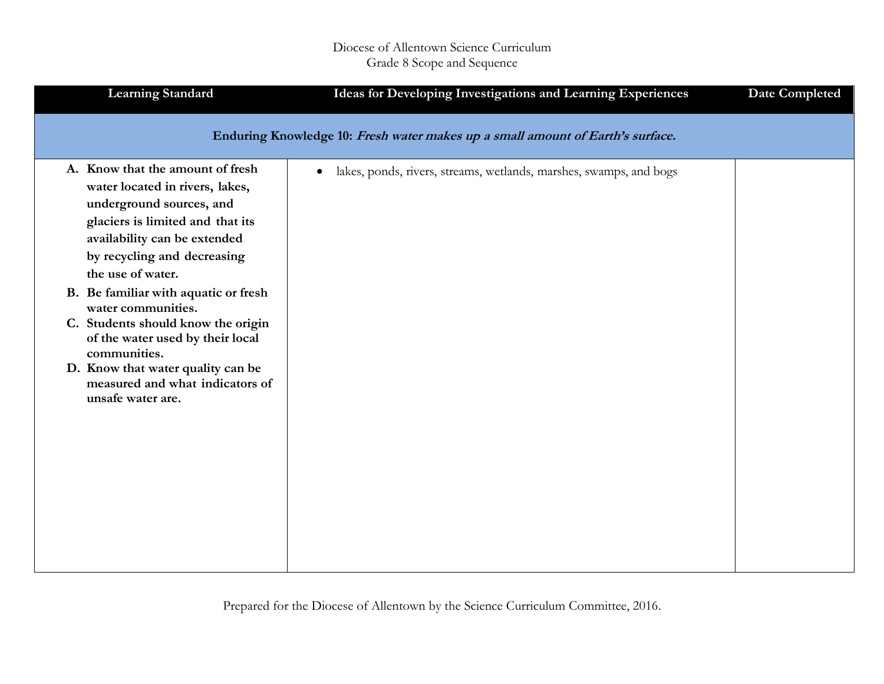| <b>Learning Standard</b>                                                                                                                                                                                                | Ideas for Developing Investigations and Learning Experiences                    | <b>Date Completed</b> |
|-------------------------------------------------------------------------------------------------------------------------------------------------------------------------------------------------------------------------|---------------------------------------------------------------------------------|-----------------------|
|                                                                                                                                                                                                                         | Enduring Knowledge 10: Fresh water makes up a small amount of Earth's surface.  |                       |
| A. Know that the amount of fresh<br>water located in rivers, lakes,<br>underground sources, and<br>glaciers is limited and that its<br>availability can be extended<br>by recycling and decreasing<br>the use of water. | lakes, ponds, rivers, streams, wetlands, marshes, swamps, and bogs<br>$\bullet$ |                       |
| B. Be familiar with aquatic or fresh<br>water communities.                                                                                                                                                              |                                                                                 |                       |
| C. Students should know the origin<br>of the water used by their local<br>communities.                                                                                                                                  |                                                                                 |                       |
| D. Know that water quality can be<br>measured and what indicators of<br>unsafe water are.                                                                                                                               |                                                                                 |                       |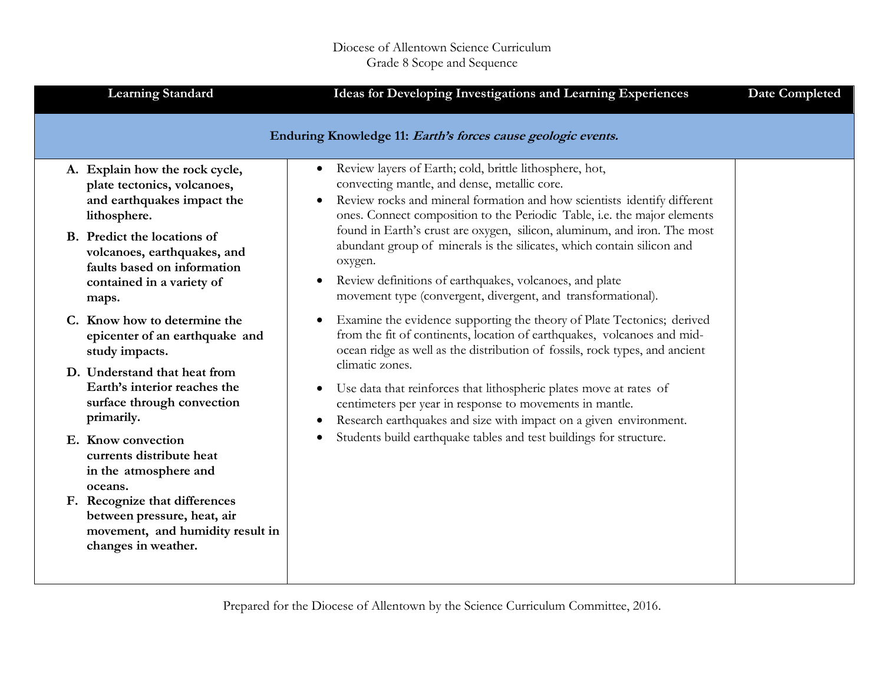| <b>Learning Standard</b>                                                                                                                                                                                 | Ideas for Developing Investigations and Learning Experiences                                                                                                                                                                                                                                                                                                                                                                                               | <b>Date Completed</b> |
|----------------------------------------------------------------------------------------------------------------------------------------------------------------------------------------------------------|------------------------------------------------------------------------------------------------------------------------------------------------------------------------------------------------------------------------------------------------------------------------------------------------------------------------------------------------------------------------------------------------------------------------------------------------------------|-----------------------|
|                                                                                                                                                                                                          | Enduring Knowledge 11: Earth's forces cause geologic events.                                                                                                                                                                                                                                                                                                                                                                                               |                       |
| A. Explain how the rock cycle,<br>plate tectonics, volcanoes,<br>and earthquakes impact the<br>lithosphere.<br>B. Predict the locations of<br>volcanoes, earthquakes, and<br>faults based on information | Review layers of Earth; cold, brittle lithosphere, hot,<br>$\bullet$<br>convecting mantle, and dense, metallic core.<br>Review rocks and mineral formation and how scientists identify different<br>$\bullet$<br>ones. Connect composition to the Periodic Table, i.e. the major elements<br>found in Earth's crust are oxygen, silicon, aluminum, and iron. The most<br>abundant group of minerals is the silicates, which contain silicon and<br>oxygen. |                       |
| contained in a variety of<br>maps.                                                                                                                                                                       | Review definitions of earthquakes, volcanoes, and plate<br>$\bullet$<br>movement type (convergent, divergent, and transformational).                                                                                                                                                                                                                                                                                                                       |                       |
| C. Know how to determine the<br>epicenter of an earthquake and<br>study impacts.                                                                                                                         | Examine the evidence supporting the theory of Plate Tectonics; derived<br>from the fit of continents, location of earthquakes, volcanoes and mid-<br>ocean ridge as well as the distribution of fossils, rock types, and ancient                                                                                                                                                                                                                           |                       |
| D. Understand that heat from<br>Earth's interior reaches the<br>surface through convection<br>primarily.                                                                                                 | climatic zones.<br>Use data that reinforces that lithospheric plates move at rates of<br>$\bullet$<br>centimeters per year in response to movements in mantle.<br>Research earthquakes and size with impact on a given environment.                                                                                                                                                                                                                        |                       |
| E. Know convection<br>currents distribute heat<br>in the atmosphere and<br>oceans.                                                                                                                       | Students build earthquake tables and test buildings for structure.<br>$\bullet$                                                                                                                                                                                                                                                                                                                                                                            |                       |
| F. Recognize that differences<br>between pressure, heat, air<br>movement, and humidity result in<br>changes in weather.                                                                                  |                                                                                                                                                                                                                                                                                                                                                                                                                                                            |                       |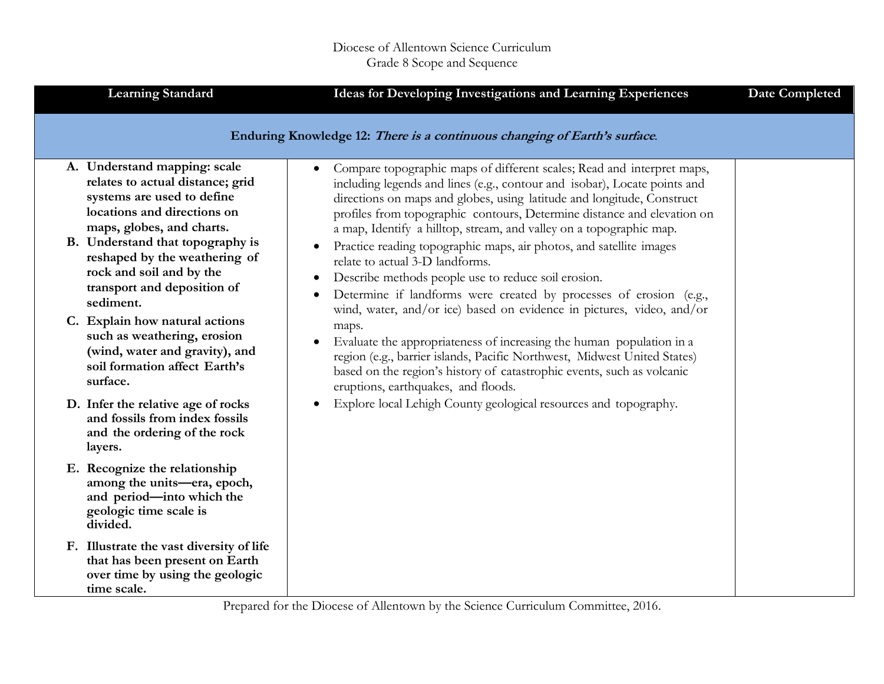| <b>Learning Standard</b>                                                                                                                                                                                                                                                                                                                                                                                                                                | Ideas for Developing Investigations and Learning Experiences                                                                                                                                                                                                                                                                                                                                                                                                                                                                                                                                                                                                                                                                                                                                                                                                                                                                                                                  | <b>Date Completed</b> |
|---------------------------------------------------------------------------------------------------------------------------------------------------------------------------------------------------------------------------------------------------------------------------------------------------------------------------------------------------------------------------------------------------------------------------------------------------------|-------------------------------------------------------------------------------------------------------------------------------------------------------------------------------------------------------------------------------------------------------------------------------------------------------------------------------------------------------------------------------------------------------------------------------------------------------------------------------------------------------------------------------------------------------------------------------------------------------------------------------------------------------------------------------------------------------------------------------------------------------------------------------------------------------------------------------------------------------------------------------------------------------------------------------------------------------------------------------|-----------------------|
|                                                                                                                                                                                                                                                                                                                                                                                                                                                         | Enduring Knowledge 12: There is a continuous changing of Earth's surface.                                                                                                                                                                                                                                                                                                                                                                                                                                                                                                                                                                                                                                                                                                                                                                                                                                                                                                     |                       |
| A. Understand mapping: scale<br>relates to actual distance; grid<br>systems are used to define<br>locations and directions on<br>maps, globes, and charts.<br>B. Understand that topography is<br>reshaped by the weathering of<br>rock and soil and by the<br>transport and deposition of<br>sediment.<br>C. Explain how natural actions<br>such as weathering, erosion<br>(wind, water and gravity), and<br>soil formation affect Earth's<br>surface. | Compare topographic maps of different scales; Read and interpret maps,<br>$\bullet$<br>including legends and lines (e.g., contour and isobar), Locate points and<br>directions on maps and globes, using latitude and longitude, Construct<br>profiles from topographic contours, Determine distance and elevation on<br>a map, Identify a hilltop, stream, and valley on a topographic map.<br>Practice reading topographic maps, air photos, and satellite images<br>relate to actual 3-D landforms.<br>Describe methods people use to reduce soil erosion.<br>Determine if landforms were created by processes of erosion (e.g.,<br>$\bullet$<br>wind, water, and/or ice) based on evidence in pictures, video, and/or<br>maps.<br>Evaluate the appropriateness of increasing the human population in a<br>$\bullet$<br>region (e.g., barrier islands, Pacific Northwest, Midwest United States)<br>based on the region's history of catastrophic events, such as volcanic |                       |
| D. Infer the relative age of rocks<br>and fossils from index fossils<br>and the ordering of the rock<br>layers.                                                                                                                                                                                                                                                                                                                                         | eruptions, earthquakes, and floods.<br>Explore local Lehigh County geological resources and topography.                                                                                                                                                                                                                                                                                                                                                                                                                                                                                                                                                                                                                                                                                                                                                                                                                                                                       |                       |
| E. Recognize the relationship<br>among the units-era, epoch,<br>and period-into which the<br>geologic time scale is<br>divided.                                                                                                                                                                                                                                                                                                                         |                                                                                                                                                                                                                                                                                                                                                                                                                                                                                                                                                                                                                                                                                                                                                                                                                                                                                                                                                                               |                       |
| F. Illustrate the vast diversity of life<br>that has been present on Earth<br>over time by using the geologic<br>time scale.                                                                                                                                                                                                                                                                                                                            |                                                                                                                                                                                                                                                                                                                                                                                                                                                                                                                                                                                                                                                                                                                                                                                                                                                                                                                                                                               |                       |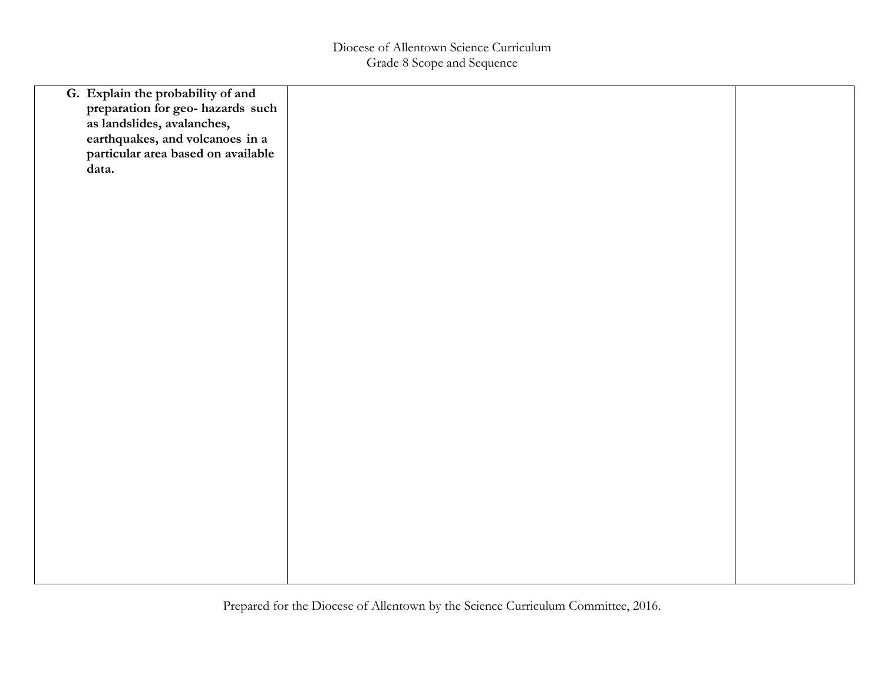| G. Explain the probability of and<br>preparation for geo- hazards such<br>as landslides, avalanches, |  |
|------------------------------------------------------------------------------------------------------|--|
| earthquakes, and volcanoes in a<br>particular area based on available<br>data.                       |  |
|                                                                                                      |  |
|                                                                                                      |  |
|                                                                                                      |  |
|                                                                                                      |  |
|                                                                                                      |  |
|                                                                                                      |  |
|                                                                                                      |  |
|                                                                                                      |  |
|                                                                                                      |  |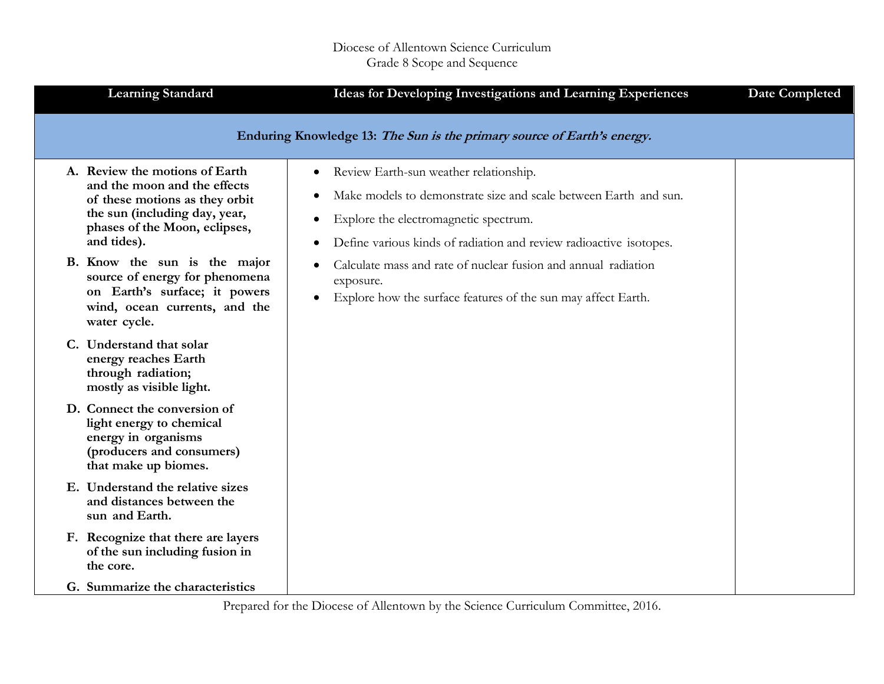| <b>Learning Standard</b>                                                                                                                                                                                          | Ideas for Developing Investigations and Learning Experiences                                                                                                                                                                                                                                                          | <b>Date Completed</b> |
|-------------------------------------------------------------------------------------------------------------------------------------------------------------------------------------------------------------------|-----------------------------------------------------------------------------------------------------------------------------------------------------------------------------------------------------------------------------------------------------------------------------------------------------------------------|-----------------------|
|                                                                                                                                                                                                                   | Enduring Knowledge 13: The Sun is the primary source of Earth's energy.                                                                                                                                                                                                                                               |                       |
| A. Review the motions of Earth<br>and the moon and the effects<br>of these motions as they orbit<br>the sun (including day, year,<br>phases of the Moon, eclipses,<br>and tides).<br>B. Know the sun is the major | Review Earth-sun weather relationship.<br>$\bullet$<br>Make models to demonstrate size and scale between Earth and sun.<br>Explore the electromagnetic spectrum.<br>Define various kinds of radiation and review radioactive isotopes.<br>Calculate mass and rate of nuclear fusion and annual radiation<br>$\bullet$ |                       |
| source of energy for phenomena<br>on Earth's surface; it powers<br>wind, ocean currents, and the<br>water cycle.                                                                                                  | exposure.<br>Explore how the surface features of the sun may affect Earth.                                                                                                                                                                                                                                            |                       |
| C. Understand that solar<br>energy reaches Earth<br>through radiation;<br>mostly as visible light.                                                                                                                |                                                                                                                                                                                                                                                                                                                       |                       |
| D. Connect the conversion of<br>light energy to chemical<br>energy in organisms<br>(producers and consumers)<br>that make up biomes.                                                                              |                                                                                                                                                                                                                                                                                                                       |                       |
| E. Understand the relative sizes<br>and distances between the<br>sun and Earth.                                                                                                                                   |                                                                                                                                                                                                                                                                                                                       |                       |
| F. Recognize that there are layers<br>of the sun including fusion in<br>the core.                                                                                                                                 |                                                                                                                                                                                                                                                                                                                       |                       |
| G. Summarize the characteristics                                                                                                                                                                                  |                                                                                                                                                                                                                                                                                                                       |                       |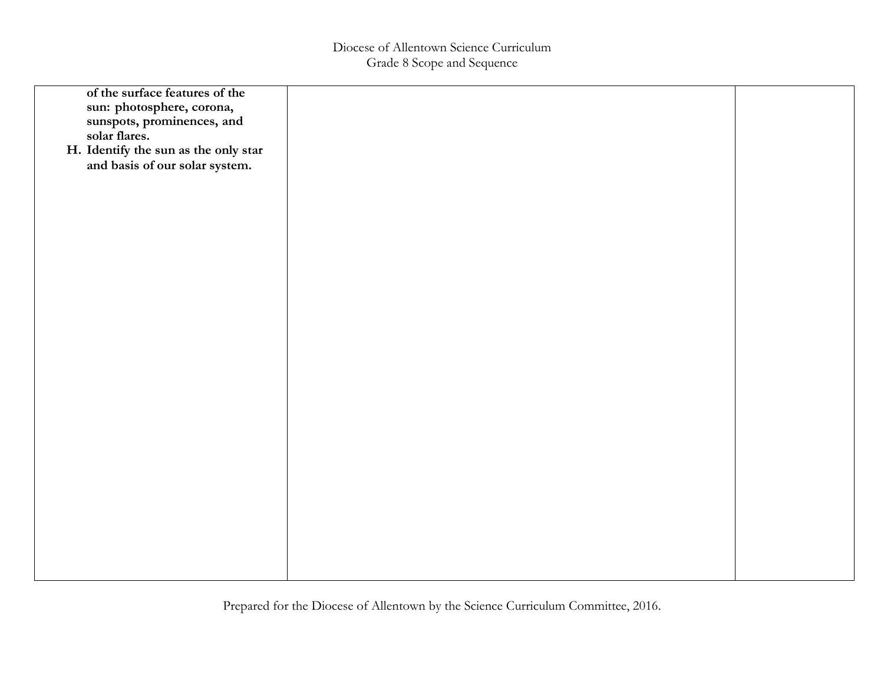| of the surface features of the<br>sun: photosphere, corona,<br>sunspots, prominences, and<br>solar flares.<br>H. Identify the sun as the only star<br>and basis of our solar system. |  |
|--------------------------------------------------------------------------------------------------------------------------------------------------------------------------------------|--|
|                                                                                                                                                                                      |  |
|                                                                                                                                                                                      |  |
|                                                                                                                                                                                      |  |
|                                                                                                                                                                                      |  |
|                                                                                                                                                                                      |  |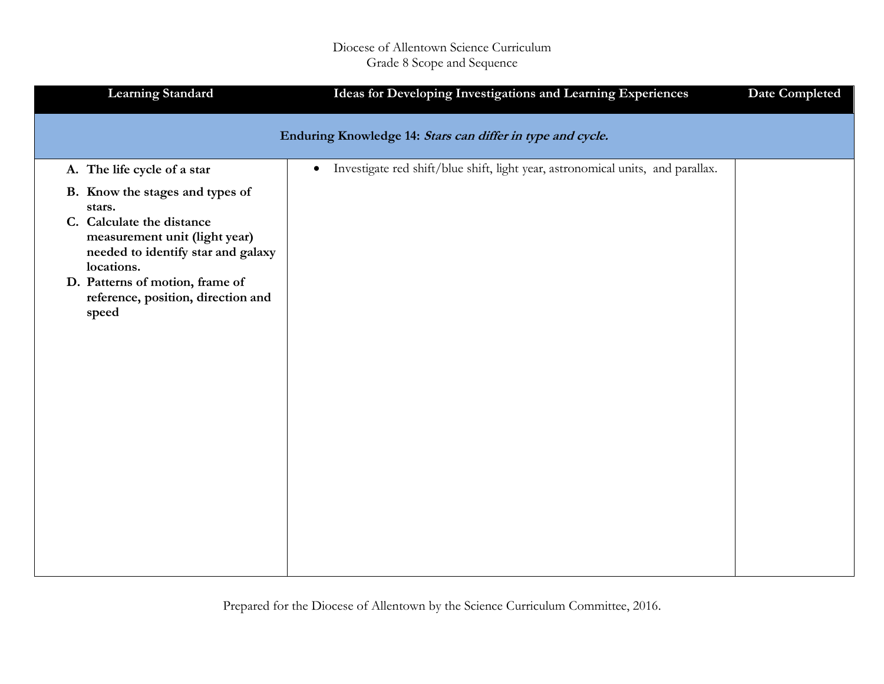## Diocese of Allentown Science Curriculum Grade 8 Scope and Sequence

| <b>Learning Standard</b>                                                                                                                                                                                                                      | Ideas for Developing Investigations and Learning Experiences                                 | <b>Date Completed</b> |
|-----------------------------------------------------------------------------------------------------------------------------------------------------------------------------------------------------------------------------------------------|----------------------------------------------------------------------------------------------|-----------------------|
|                                                                                                                                                                                                                                               | Enduring Knowledge 14: Stars can differ in type and cycle.                                   |                       |
| A. The life cycle of a star                                                                                                                                                                                                                   | Investigate red shift/blue shift, light year, astronomical units, and parallax.<br>$\bullet$ |                       |
| B. Know the stages and types of<br>stars.<br>C. Calculate the distance<br>measurement unit (light year)<br>needed to identify star and galaxy<br>locations.<br>D. Patterns of motion, frame of<br>reference, position, direction and<br>speed |                                                                                              |                       |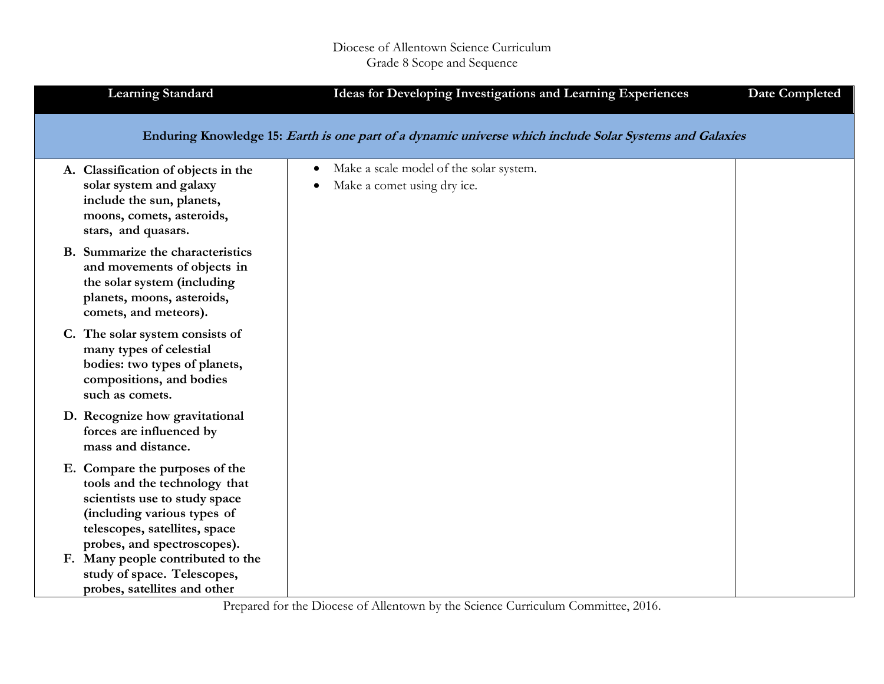| <b>Learning Standard</b>                                                                                                                                                                        | Ideas for Developing Investigations and Learning Experiences                                            | <b>Date Completed</b> |
|-------------------------------------------------------------------------------------------------------------------------------------------------------------------------------------------------|---------------------------------------------------------------------------------------------------------|-----------------------|
|                                                                                                                                                                                                 | Enduring Knowledge 15: Earth is one part of a dynamic universe which include Solar Systems and Galaxies |                       |
| A. Classification of objects in the<br>solar system and galaxy<br>include the sun, planets,<br>moons, comets, asteroids,<br>stars, and quasars.                                                 | Make a scale model of the solar system.<br>$\bullet$<br>Make a comet using dry ice.                     |                       |
| B. Summarize the characteristics<br>and movements of objects in<br>the solar system (including<br>planets, moons, asteroids,<br>comets, and meteors).                                           |                                                                                                         |                       |
| C. The solar system consists of<br>many types of celestial<br>bodies: two types of planets,<br>compositions, and bodies<br>such as comets.                                                      |                                                                                                         |                       |
| D. Recognize how gravitational<br>forces are influenced by<br>mass and distance.                                                                                                                |                                                                                                         |                       |
| E. Compare the purposes of the<br>tools and the technology that<br>scientists use to study space<br>(including various types of<br>telescopes, satellites, space<br>probes, and spectroscopes). |                                                                                                         |                       |
| F. Many people contributed to the<br>study of space. Telescopes,<br>probes, satellites and other                                                                                                |                                                                                                         |                       |